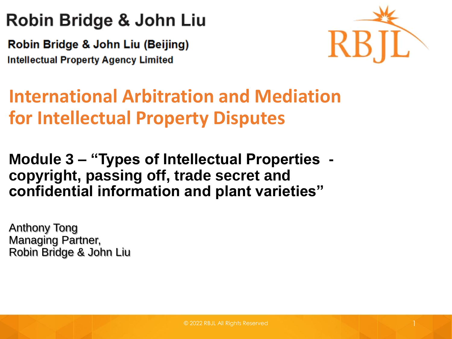### Robin Bridge & John Liu

Robin Bridge & John Liu (Beijing) **Intellectual Property Agency Limited** 



### **International Arbitration and Mediation for Intellectual Property Disputes**

#### **Module 3 – "Types of Intellectual Properties copyright, passing off, trade secret and confidential information and plant varieties"**

Anthony Tong Managing Partner, Robin Bridge & John Liu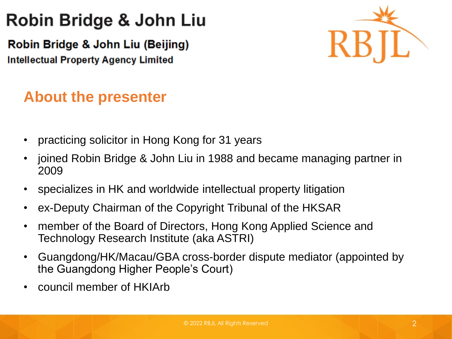### Robin Bridge & John Liu

Robin Bridge & John Liu (Beijing) **Intellectual Property Agency Limited** 



#### **About the presenter**

- practicing solicitor in Hong Kong for 31 years
- joined Robin Bridge & John Liu in 1988 and became managing partner in 2009
- specializes in HK and worldwide intellectual property litigation
- ex-Deputy Chairman of the Copyright Tribunal of the HKSAR
- member of the Board of Directors, Hong Kong Applied Science and Technology Research Institute (aka ASTRI)
- Guangdong/HK/Macau/GBA cross-border dispute mediator (appointed by the Guangdong Higher People's Court)
- council member of HKIArb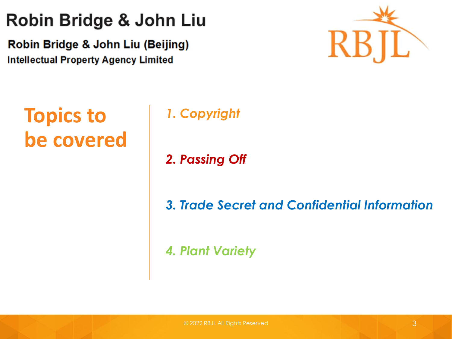### Robin Bridge & John Liu

Robin Bridge & John Liu (Beijing) **Intellectual Property Agency Limited** 



### **Topics to be covered**

#### *1. Copyright*

*2. Passing Off*

*3. Trade Secret and Confidential Information*

*4. Plant Variety*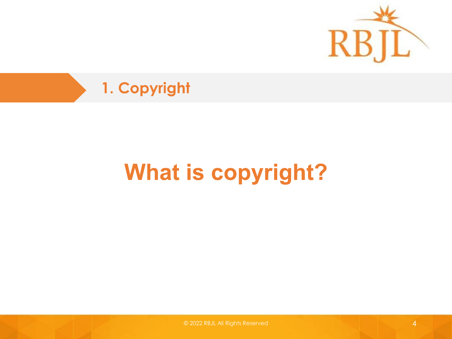



## **What is copyright?**

© 2022 RBJL All Rights Reserved 4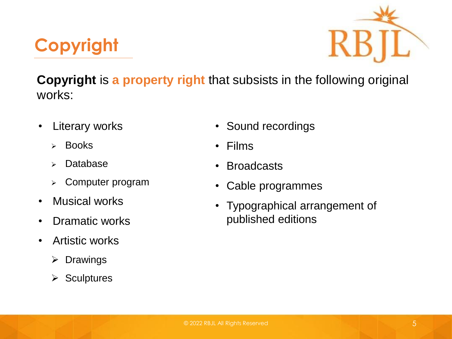



**Copyright** is **a property right** that subsists in the following original works:

- Literary works
	- ➢ Books
	- ➢ Database
	- ➢ Computer program
- Musical works
- Dramatic works
- Artistic works
	- ➢ Drawings
	- ➢ Sculptures
- Sound recordings
- Films
- Broadcasts
- Cable programmes
- Typographical arrangement of published editions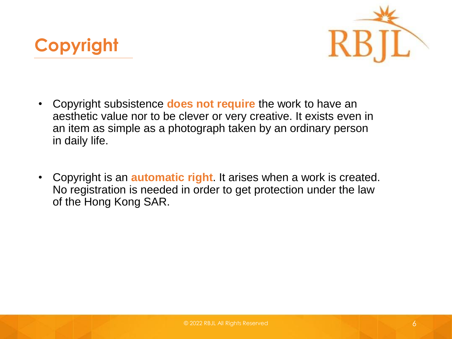



- Copyright subsistence **does not require** the work to have an aesthetic value nor to be clever or very creative. It exists even in an item as simple as a photograph taken by an ordinary person in daily life.
- Copyright is an **automatic right**. It arises when a work is created. No registration is needed in order to get protection under the law of the Hong Kong SAR.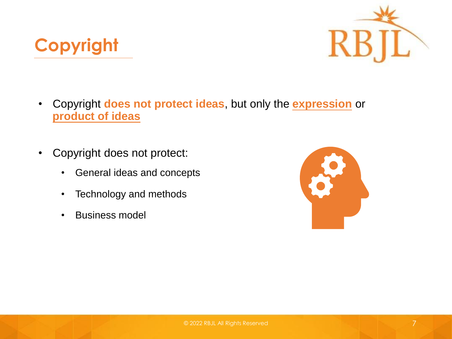



- Copyright **does not protect ideas**, but only the **expression** or **product of ideas**
- Copyright does not protect:
	- General ideas and concepts
	- Technology and methods
	- Business model

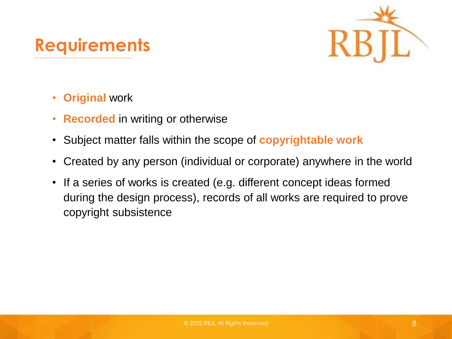### **Requirements**



- **Original** work
- **Recorded** in writing or otherwise
- Subject matter falls within the scope of **copyrightable work**
- Created by any person (individual or corporate) anywhere in the world
- If a series of works is created (e.g. different concept ideas formed during the design process), records of all works are required to prove copyright subsistence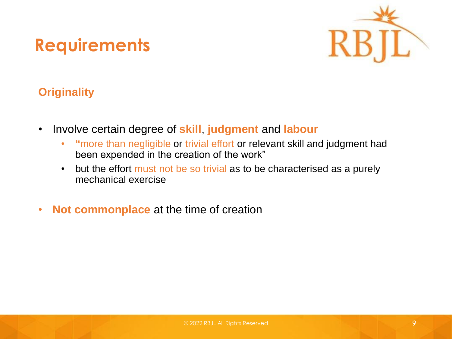### **Requirements**



#### **Originality**

- Involve certain degree of **skill**, **judgment** and **labour**
	- **"**more than negligible or trivial effort or relevant skill and judgment had been expended in the creation of the work"
	- but the effort must not be so trivial as to be characterised as a purely mechanical exercise
- **Not commonplace** at the time of creation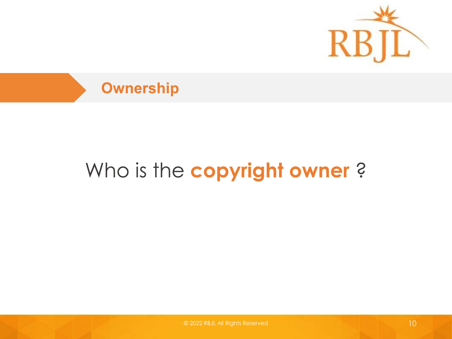



### Who is the copyright owner?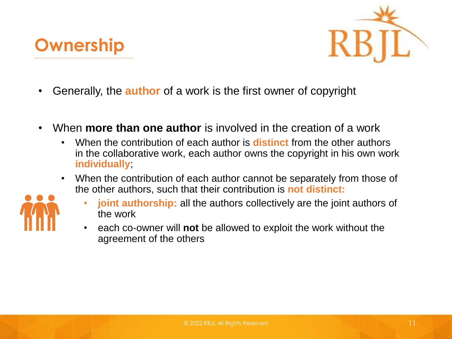



- Generally, the **author** of a work is the first owner of copyright
- When **more than one author** is involved in the creation of a work
	- When the contribution of each author is **distinct** from the other authors in the collaborative work, each author owns the copyright in his own work **individually**;
	- When the contribution of each author cannot be separately from those of the other authors, such that their contribution is **not distinct:**



- **joint authorship:** all the authors collectively are the joint authors of the work
- each co-owner will **not** be allowed to exploit the work without the agreement of the others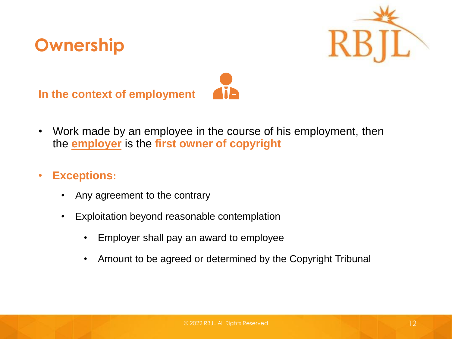



**In the context of employment**



- Work made by an employee in the course of his employment, then the **employer** is the **first owner of copyright**
- **Exceptions:**
	- Any agreement to the contrary
	- Exploitation beyond reasonable contemplation
		- Employer shall pay an award to employee
		- Amount to be agreed or determined by the Copyright Tribunal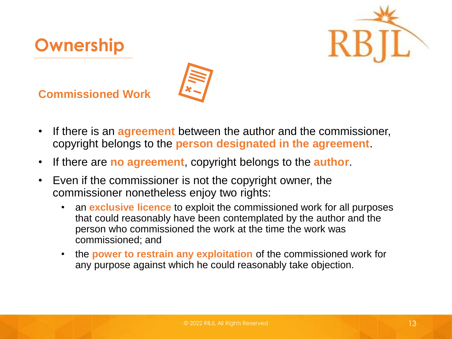



**Commissioned Work**

**Ownership**

- If there is an **agreement** between the author and the commissioner, copyright belongs to the **person designated in the agreement**.
- If there are **no agreement**, copyright belongs to the **author**.
- Even if the commissioner is not the copyright owner, the commissioner nonetheless enjoy two rights:
	- an **exclusive licence** to exploit the commissioned work for all purposes that could reasonably have been contemplated by the author and the person who commissioned the work at the time the work was commissioned; and
	- the **power to restrain any exploitation** of the commissioned work for any purpose against which he could reasonably take objection.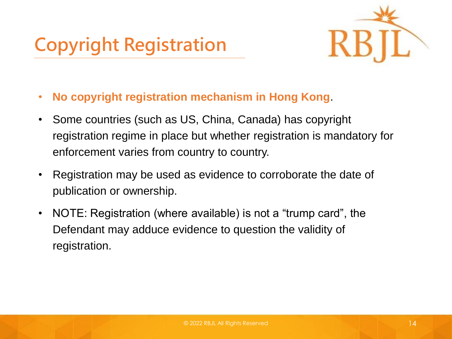### **Copyright Registration**



- **No copyright registration mechanism in Hong Kong**.
- Some countries (such as US, China, Canada) has copyright registration regime in place but whether registration is mandatory for enforcement varies from country to country.
- Registration may be used as evidence to corroborate the date of publication or ownership.
- NOTE: Registration (where available) is not a "trump card", the Defendant may adduce evidence to question the validity of registration.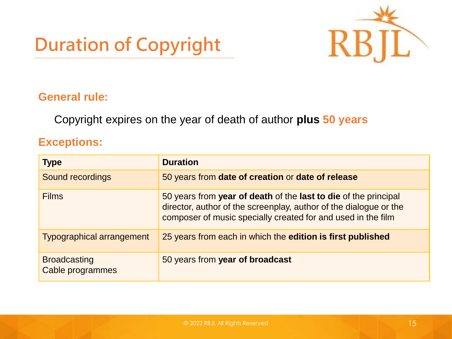### **Duration of Copyright**



#### **General rule:**

Copyright expires on the year of death of author **plus 50 years**

#### **Exceptions:**

| <b>Type</b>                             | <b>Duration</b>                                                                                                                                                                                      |  |
|-----------------------------------------|------------------------------------------------------------------------------------------------------------------------------------------------------------------------------------------------------|--|
| Sound recordings                        | 50 years from date of creation or date of release                                                                                                                                                    |  |
| <b>Films</b>                            | 50 years from year of death of the last to die of the principal<br>director, author of the screenplay, author of the dialogue or the<br>composer of music specially created for and used in the film |  |
| <b>Typographical arrangement</b>        | 25 years from each in which the edition is first published                                                                                                                                           |  |
| <b>Broadcasting</b><br>Cable programmes | 50 years from year of broadcast                                                                                                                                                                      |  |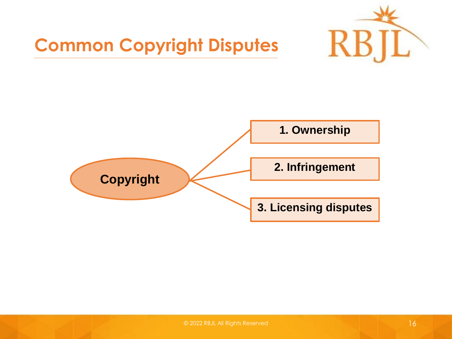

### **Common Copyright Disputes**

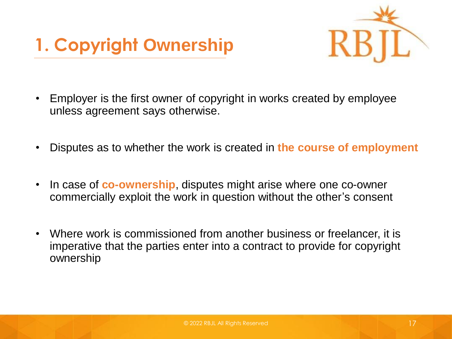



- Employer is the first owner of copyright in works created by employee unless agreement says otherwise.
- Disputes as to whether the work is created in **the course of employment**
- In case of **co-ownership**, disputes might arise where one co-owner commercially exploit the work in question without the other's consent
- Where work is commissioned from another business or freelancer, it is imperative that the parties enter into a contract to provide for copyright ownership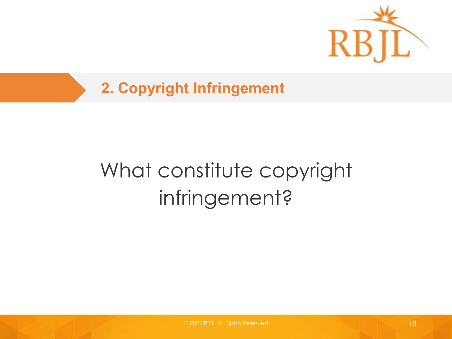

## What constitute copyright infringement?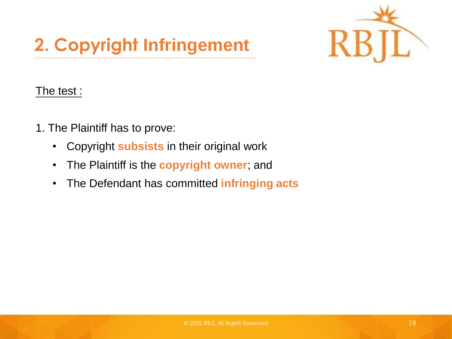

#### The test :

- 1. The Plaintiff has to prove:
	- Copyright **subsists** in their original work
	- The Plaintiff is the **copyright owner**; and
	- The Defendant has committed **infringing acts**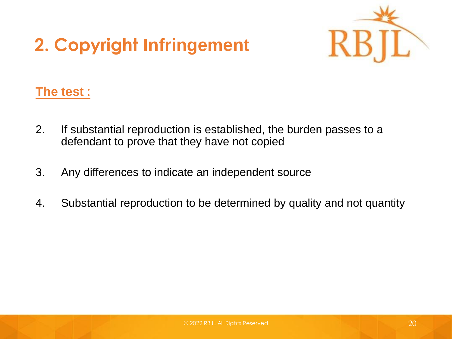

#### **The test :**

- 2. If substantial reproduction is established, the burden passes to a defendant to prove that they have not copied
- 3. Any differences to indicate an independent source
- 4. Substantial reproduction to be determined by quality and not quantity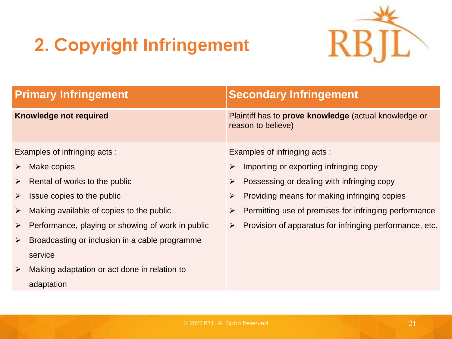

| <b>Primary Infringement</b>   |                                                   | <b>Secondary Infringement</b>                                               |                                                         |  |
|-------------------------------|---------------------------------------------------|-----------------------------------------------------------------------------|---------------------------------------------------------|--|
| <b>Knowledge not required</b> |                                                   | Plaintiff has to prove knowledge (actual knowledge or<br>reason to believe) |                                                         |  |
| Examples of infringing acts:  |                                                   | Examples of infringing acts:                                                |                                                         |  |
| ➤                             | Make copies                                       | $\blacktriangleright$                                                       | Importing or exporting infringing copy                  |  |
| ➤                             | Rental of works to the public                     | $\blacktriangleright$                                                       | Possessing or dealing with infringing copy              |  |
| ➤                             | Issue copies to the public                        | $\blacktriangleright$                                                       | Providing means for making infringing copies            |  |
| ➤                             | Making available of copies to the public          | ➤                                                                           | Permitting use of premises for infringing performance   |  |
| $\blacktriangleright$         | Performance, playing or showing of work in public | $\blacktriangleright$                                                       | Provision of apparatus for infringing performance, etc. |  |
| $\blacktriangleright$         | Broadcasting or inclusion in a cable programme    |                                                                             |                                                         |  |
|                               | service                                           |                                                                             |                                                         |  |
| $\blacktriangleright$         | Making adaptation or act done in relation to      |                                                                             |                                                         |  |
|                               | adaptation                                        |                                                                             |                                                         |  |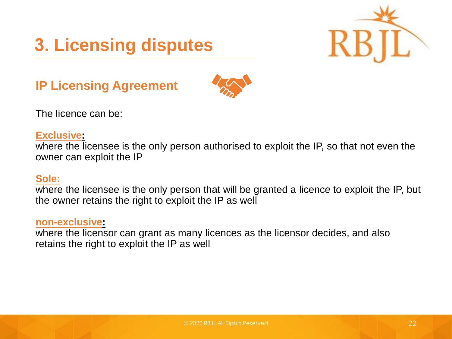



#### **IP Licensing Agreement**



The licence can be:

#### **Exclusive:**

where the licensee is the only person authorised to exploit the IP, so that not even the owner can exploit the IP

#### **Sole:**

where the licensee is the only person that will be granted a licence to exploit the IP, but the owner retains the right to exploit the IP as well

#### **non-exclusive:**

where the licensor can grant as many licences as the licensor decides, and also retains the right to exploit the IP as well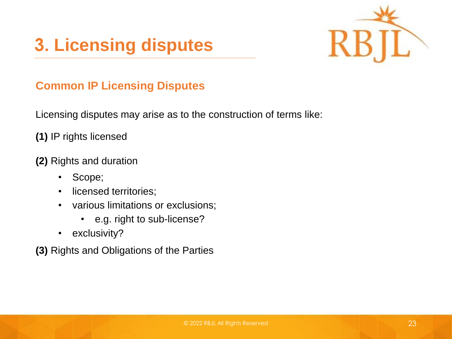### **3. Licensing disputes**



#### **Common IP Licensing Disputes**

Licensing disputes may arise as to the construction of terms like:

**(1)** IP rights licensed

#### **(2)** Rights and duration

- Scope;
- licensed territories;
- various limitations or exclusions;
	- e.g. right to sub-license?
- exclusivity?
- **(3)** Rights and Obligations of the Parties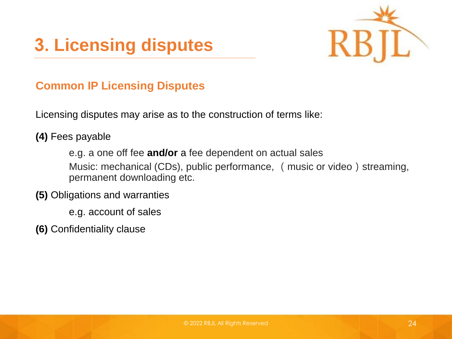



#### **Common IP Licensing Disputes**

Licensing disputes may arise as to the construction of terms like:

**(4)** Fees payable

e.g. a one off fee **and/or** a fee dependent on actual sales Music: mechanical (CDs), public performance, (music or video) streaming, permanent downloading etc.

- **(5)** Obligations and warranties
	- e.g. account of sales
- **(6)** Confidentiality clause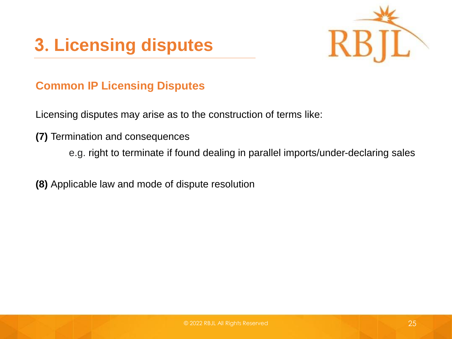



#### **Common IP Licensing Disputes**

Licensing disputes may arise as to the construction of terms like:

- **(7)** Termination and consequences
	- e.g. right to terminate if found dealing in parallel imports/under-declaring sales

**(8)** Applicable law and mode of dispute resolution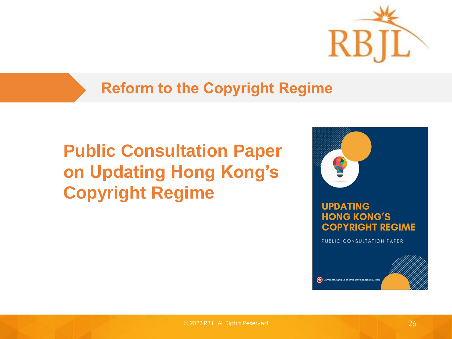

#### **Reform to the Copyright Regime**

### **Public Consultation Paper on Updating Hong Kong's Copyright Regime**



#### **UPDATING HONG KONG'S COPYRIGHT REGIME**

PUBLIC CONSULTATION PAPER

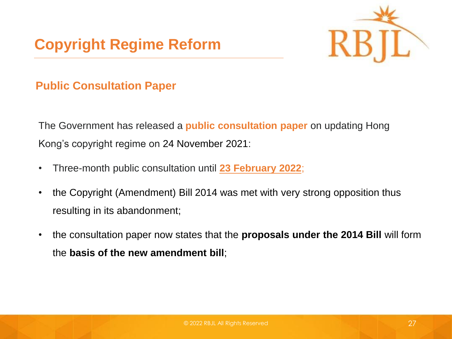

#### **Public Consultation Paper**

The Government has released a **public consultation paper** on updating Hong Kong's copyright regime on 24 November 2021:

- Three-month public consultation until **23 February 2022**;
- the Copyright (Amendment) Bill 2014 was met with very strong opposition thus resulting in its abandonment;
- the consultation paper now states that the **proposals under the 2014 Bill** will form the **basis of the new amendment bill**;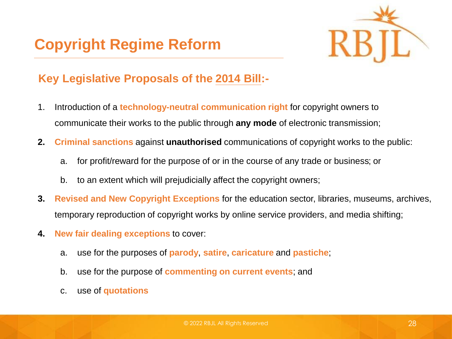

#### **Key Legislative Proposals of the 2014 Bill:-**

- 1. Introduction of a **technology-neutral communication right** for copyright owners to communicate their works to the public through **any mode** of electronic transmission;
- **2. Criminal sanctions** against **unauthorised** communications of copyright works to the public:
	- a. for profit/reward for the purpose of or in the course of any trade or business; or
	- b. to an extent which will prejudicially affect the copyright owners;
- **3. Revised and New Copyright Exceptions** for the education sector, libraries, museums, archives, temporary reproduction of copyright works by online service providers, and media shifting;
- **4. New fair dealing exceptions** to cover:
	- a. use for the purposes of **parody**, **satire**, **caricature** and **pastiche**;
	- b. use for the purpose of **commenting on current events**; and
	- c. use of **quotations**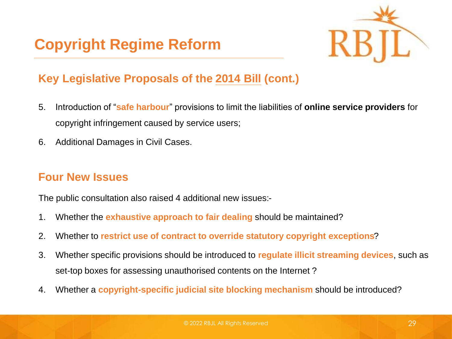

#### **Key Legislative Proposals of the 2014 Bill (cont.)**

- 5. Introduction of "**safe harbour**" provisions to limit the liabilities of **online service providers** for copyright infringement caused by service users;
- 6. Additional Damages in Civil Cases.

#### **Four New Issues**

The public consultation also raised 4 additional new issues:-

- 1. Whether the **exhaustive approach to fair dealing** should be maintained?
- 2. Whether to **restrict use of contract to override statutory copyright exceptions**?
- 3. Whether specific provisions should be introduced to **regulate illicit streaming devices**, such as set-top boxes for assessing unauthorised contents on the Internet ?
- 4. Whether a **copyright-specific judicial site blocking mechanism** should be introduced?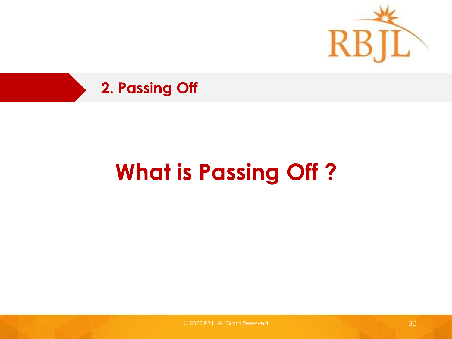



## **What is Passing Off?**

© 2022 RBJL All Rights Reserved 30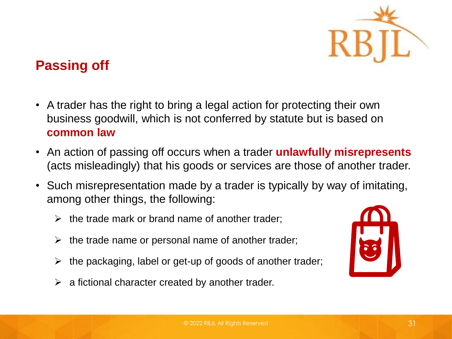

#### **Passing off**

- A trader has the right to bring a legal action for protecting their own business goodwill, which is not conferred by statute but is based on **common law**
- An action of passing off occurs when a trader **unlawfully misrepresents**  (acts misleadingly) that his goods or services are those of another trader.
- Such misrepresentation made by a trader is typically by way of imitating, among other things, the following:
	- $\triangleright$  the trade mark or brand name of another trader:
	- $\triangleright$  the trade name or personal name of another trader;
	- $\triangleright$  the packaging, label or get-up of goods of another trader;
	- $\triangleright$  a fictional character created by another trader.

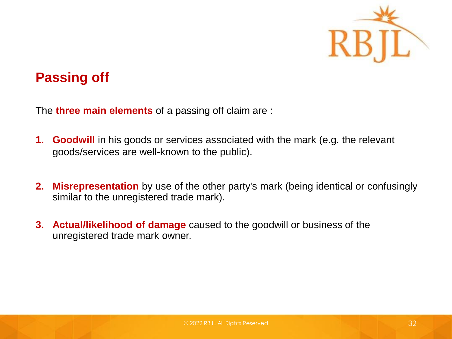

#### **Passing off**

The **three main elements** of a passing off claim are :

- **1. Goodwill** in his goods or services associated with the mark (e.g. the relevant goods/services are well-known to the public).
- **2. Misrepresentation** by use of the other party's mark (being identical or confusingly similar to the unregistered trade mark).
- **3. Actual/likelihood of damage** caused to the goodwill or business of the unregistered trade mark owner.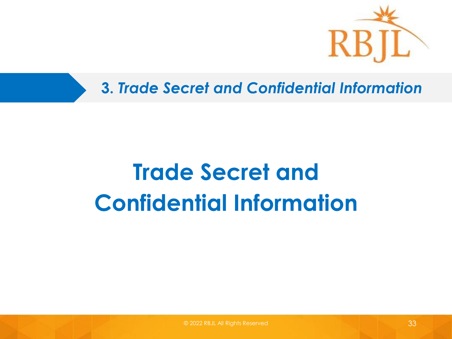

**3. Trade Secret and Confidential Information** 

## **Trade Secret and Confidential Information**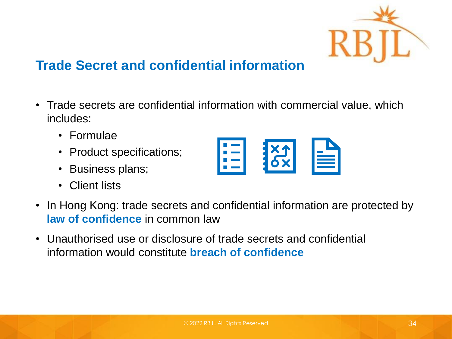

#### **Trade Secret and confidential information**

- Trade secrets are confidential information with commercial value, which includes:
	- Formulae
	- Product specifications;
	- Business plans;
	- Client lists



- In Hong Kong: trade secrets and confidential information are protected by **law of confidence** in common law
- Unauthorised use or disclosure of trade secrets and confidential information would constitute **breach of confidence**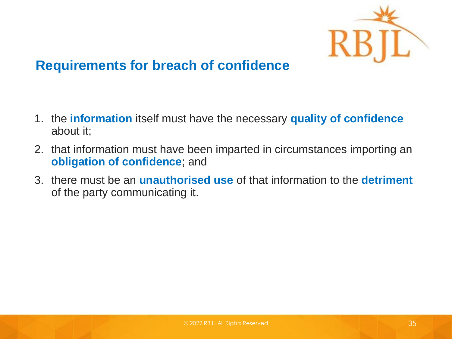

#### **Requirements for breach of confidence**

- 1. the **information** itself must have the necessary **quality of confidence**  about it;
- 2. that information must have been imparted in circumstances importing an **obligation of confidence**; and
- 3. there must be an **unauthorised use** of that information to the **detriment** of the party communicating it.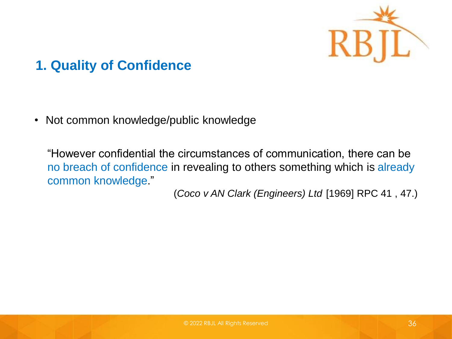

#### **1. Quality of Confidence**

• Not common knowledge/public knowledge

"However confidential the circumstances of communication, there can be no breach of confidence in revealing to others something which is already common knowledge."

(*Coco v AN Clark (Engineers) Ltd* [1969] RPC 41 , 47.)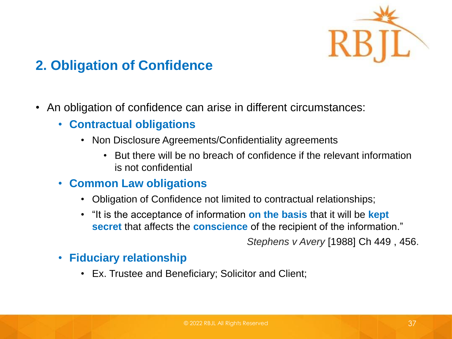

#### **2. Obligation of Confidence**

- An obligation of confidence can arise in different circumstances:
	- **Contractual obligations** 
		- Non Disclosure Agreements/Confidentiality agreements
			- But there will be no breach of confidence if the relevant information is not confidential

#### • **Common Law obligations**

- Obligation of Confidence not limited to contractual relationships;
- "It is the acceptance of information **on the basis** that it will be **kept secret** that affects the **conscience** of the recipient of the information."

*Stephens v Avery* [1988] Ch 449 , 456.

#### • **Fiduciary relationship**

• Ex. Trustee and Beneficiary; Solicitor and Client;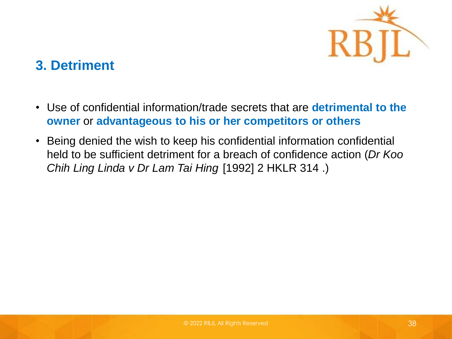

#### **3. Detriment**

- Use of confidential information/trade secrets that are **detrimental to the owner** or **advantageous to his or her competitors or others**
- Being denied the wish to keep his confidential information confidential held to be sufficient detriment for a breach of confidence action (*Dr Koo Chih Ling Linda v Dr Lam Tai Hing* [1992] 2 HKLR 314 .)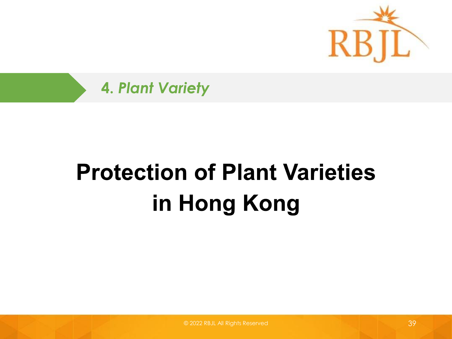

**4. Plant Variety** 

## **Protection of Plant Varieties** in Hong Kong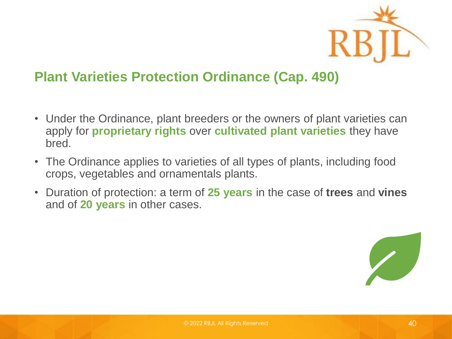

#### **Plant Varieties Protection Ordinance (Cap. 490)**

- Under the Ordinance, plant breeders or the owners of plant varieties can apply for **proprietary rights** over **cultivated plant varieties** they have bred.
- The Ordinance applies to varieties of all types of plants, including food crops, vegetables and ornamentals plants.
- Duration of protection: a term of **25 years** in the case of **trees** and **vines** and of **20 years** in other cases.

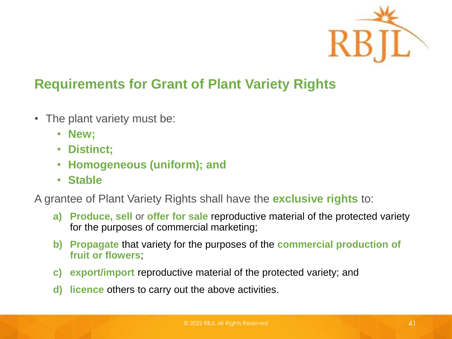

#### **Requirements for Grant of Plant Variety Rights**

- The plant variety must be:
	- **New;**
	- **Distinct;**
	- **Homogeneous (uniform); and**
	- **Stable**

A grantee of Plant Variety Rights shall have the **exclusive rights** to:

- **a) Produce, sell** or **offer for sale** reproductive material of the protected variety for the purposes of commercial marketing;
- **b) Propagate** that variety for the purposes of the **commercial production of fruit or flowers**;
- **c) export/import** reproductive material of the protected variety; and
- **d) licence** others to carry out the above activities.